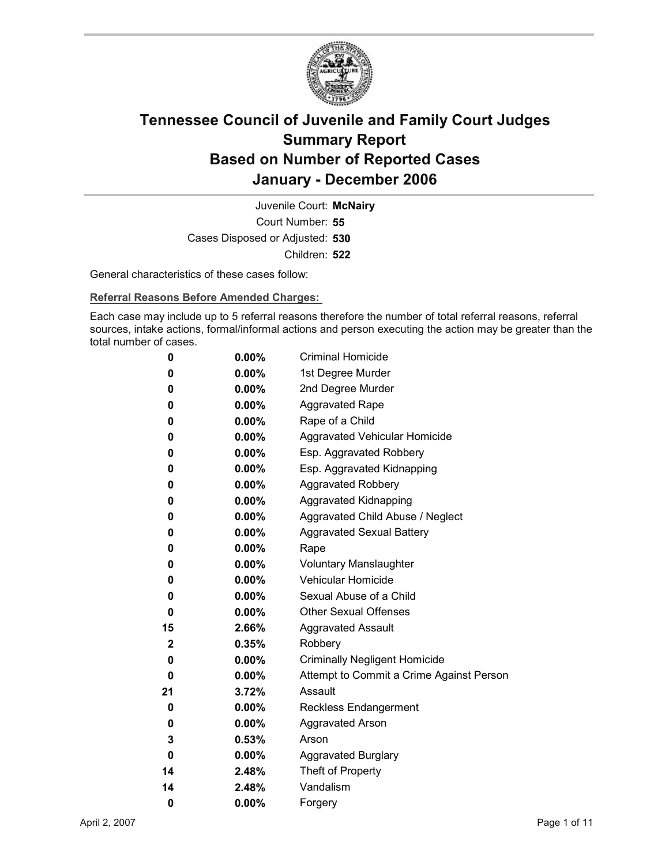

Court Number: **55** Juvenile Court: **McNairy** Cases Disposed or Adjusted: **530** Children: **522**

General characteristics of these cases follow:

**Referral Reasons Before Amended Charges:** 

Each case may include up to 5 referral reasons therefore the number of total referral reasons, referral sources, intake actions, formal/informal actions and person executing the action may be greater than the total number of cases.

| 0            | $0.00\%$ | <b>Criminal Homicide</b>                 |
|--------------|----------|------------------------------------------|
| 0            | $0.00\%$ | 1st Degree Murder                        |
| 0            | $0.00\%$ | 2nd Degree Murder                        |
| 0            | $0.00\%$ | <b>Aggravated Rape</b>                   |
| 0            | $0.00\%$ | Rape of a Child                          |
| 0            | $0.00\%$ | Aggravated Vehicular Homicide            |
| 0            | $0.00\%$ | Esp. Aggravated Robbery                  |
| 0            | $0.00\%$ | Esp. Aggravated Kidnapping               |
| 0            | $0.00\%$ | Aggravated Robbery                       |
| 0            | $0.00\%$ | <b>Aggravated Kidnapping</b>             |
| 0            | $0.00\%$ | Aggravated Child Abuse / Neglect         |
| 0            | $0.00\%$ | <b>Aggravated Sexual Battery</b>         |
| 0            | $0.00\%$ | Rape                                     |
| 0            | $0.00\%$ | <b>Voluntary Manslaughter</b>            |
| 0            | $0.00\%$ | <b>Vehicular Homicide</b>                |
| 0            | $0.00\%$ | Sexual Abuse of a Child                  |
| 0            | $0.00\%$ | <b>Other Sexual Offenses</b>             |
| 15           | 2.66%    | <b>Aggravated Assault</b>                |
| $\mathbf{2}$ | 0.35%    | Robbery                                  |
| 0            | $0.00\%$ | <b>Criminally Negligent Homicide</b>     |
| 0            | $0.00\%$ | Attempt to Commit a Crime Against Person |
| 21           | 3.72%    | Assault                                  |
| 0            | $0.00\%$ | <b>Reckless Endangerment</b>             |
| 0            | $0.00\%$ | <b>Aggravated Arson</b>                  |
| 3            | 0.53%    | Arson                                    |
| 0            | $0.00\%$ | <b>Aggravated Burglary</b>               |
| 14           | 2.48%    | Theft of Property                        |
| 14           | 2.48%    | Vandalism                                |
| 0            | 0.00%    | Forgery                                  |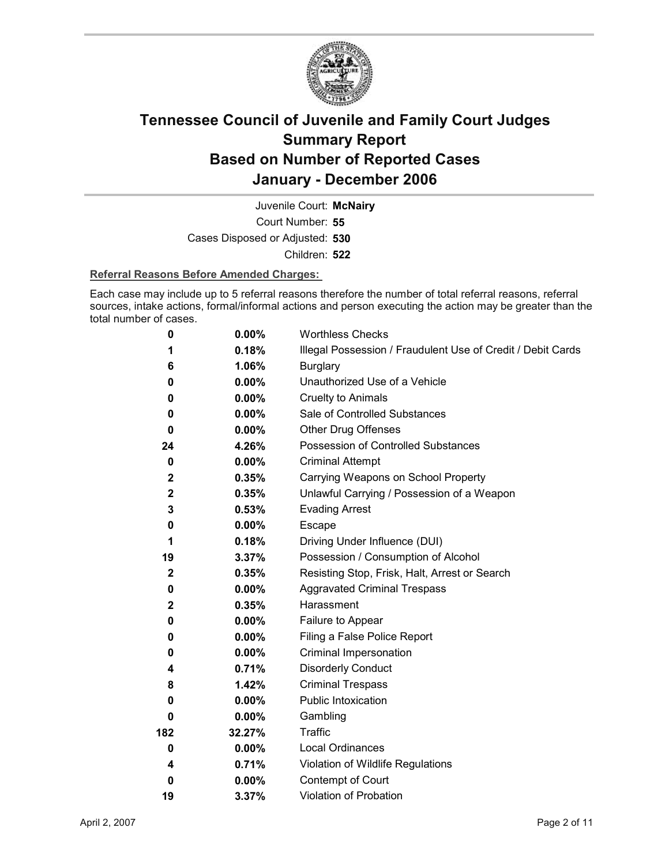

Court Number: **55** Juvenile Court: **McNairy** Cases Disposed or Adjusted: **530** Children: **522**

### **Referral Reasons Before Amended Charges:**

Each case may include up to 5 referral reasons therefore the number of total referral reasons, referral sources, intake actions, formal/informal actions and person executing the action may be greater than the total number of cases.

| 0            | 0.00%    | <b>Worthless Checks</b>                                     |
|--------------|----------|-------------------------------------------------------------|
| 1            | 0.18%    | Illegal Possession / Fraudulent Use of Credit / Debit Cards |
| 6            | 1.06%    | <b>Burglary</b>                                             |
| 0            | $0.00\%$ | Unauthorized Use of a Vehicle                               |
| 0            | $0.00\%$ | <b>Cruelty to Animals</b>                                   |
| 0            | $0.00\%$ | Sale of Controlled Substances                               |
| 0            | $0.00\%$ | <b>Other Drug Offenses</b>                                  |
| 24           | 4.26%    | Possession of Controlled Substances                         |
| 0            | 0.00%    | <b>Criminal Attempt</b>                                     |
| $\mathbf{2}$ | 0.35%    | Carrying Weapons on School Property                         |
| $\mathbf{2}$ | 0.35%    | Unlawful Carrying / Possession of a Weapon                  |
| 3            | 0.53%    | <b>Evading Arrest</b>                                       |
| 0            | 0.00%    | Escape                                                      |
| 1            | 0.18%    | Driving Under Influence (DUI)                               |
| 19           | 3.37%    | Possession / Consumption of Alcohol                         |
| $\mathbf 2$  | 0.35%    | Resisting Stop, Frisk, Halt, Arrest or Search               |
| 0            | $0.00\%$ | <b>Aggravated Criminal Trespass</b>                         |
| $\mathbf{2}$ | 0.35%    | Harassment                                                  |
| 0            | $0.00\%$ | Failure to Appear                                           |
| 0            | $0.00\%$ | Filing a False Police Report                                |
| 0            | $0.00\%$ | Criminal Impersonation                                      |
| 4            | 0.71%    | <b>Disorderly Conduct</b>                                   |
| 8            | 1.42%    | <b>Criminal Trespass</b>                                    |
| 0            | $0.00\%$ | Public Intoxication                                         |
| 0            | $0.00\%$ | Gambling                                                    |
| 182          | 32.27%   | <b>Traffic</b>                                              |
| 0            | $0.00\%$ | Local Ordinances                                            |
| 4            | 0.71%    | Violation of Wildlife Regulations                           |
| $\bf{0}$     | $0.00\%$ | Contempt of Court                                           |
| 19           | 3.37%    | Violation of Probation                                      |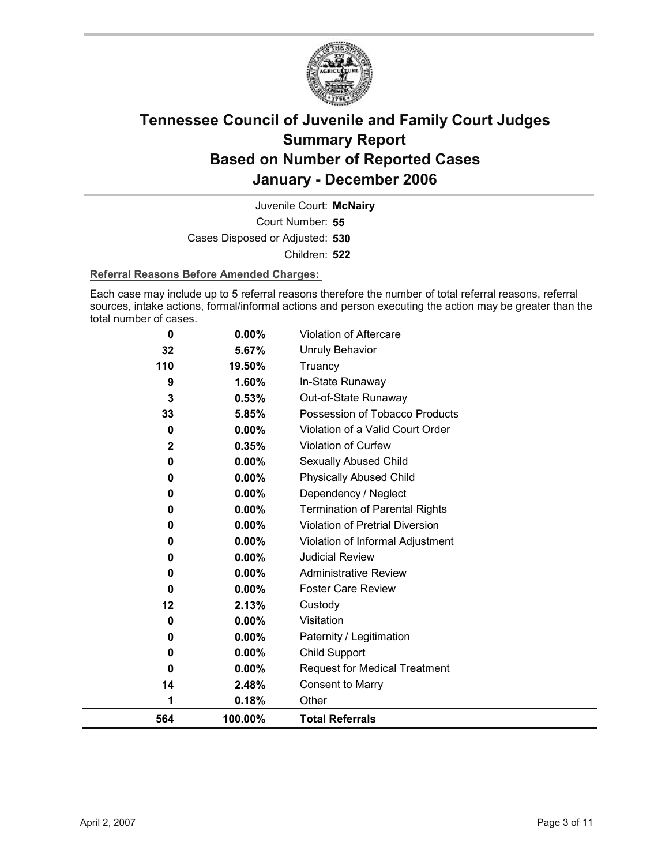

Court Number: **55** Juvenile Court: **McNairy** Cases Disposed or Adjusted: **530** Children: **522**

### **Referral Reasons Before Amended Charges:**

Each case may include up to 5 referral reasons therefore the number of total referral reasons, referral sources, intake actions, formal/informal actions and person executing the action may be greater than the total number of cases.

| 1<br>564    | 0.18%<br>100.00% | Other<br><b>Total Referrals</b>        |
|-------------|------------------|----------------------------------------|
| 14          | 2.48%            | <b>Consent to Marry</b>                |
| 0           | $0.00\%$         | <b>Request for Medical Treatment</b>   |
| 0           | 0.00%            | Child Support                          |
| 0           | 0.00%            | Paternity / Legitimation               |
| 0           | $0.00\%$         | Visitation                             |
| 12          | 2.13%            | Custody                                |
| 0           | $0.00\%$         | <b>Foster Care Review</b>              |
| 0           | 0.00%            | <b>Administrative Review</b>           |
| 0           | 0.00%            | <b>Judicial Review</b>                 |
| 0           | 0.00%            | Violation of Informal Adjustment       |
| 0           | 0.00%            | <b>Violation of Pretrial Diversion</b> |
| 0           | 0.00%            | <b>Termination of Parental Rights</b>  |
| 0           | 0.00%            | Dependency / Neglect                   |
| 0           | $0.00\%$         | <b>Physically Abused Child</b>         |
| 0           | 0.00%            | <b>Sexually Abused Child</b>           |
| $\mathbf 2$ | 0.35%            | Violation of Curfew                    |
| 0           | 0.00%            | Violation of a Valid Court Order       |
| 33          | 5.85%            | Possession of Tobacco Products         |
| 3           | 0.53%            | Out-of-State Runaway                   |
| 110<br>9    | 19.50%<br>1.60%  | Truancy<br>In-State Runaway            |
| 32          | 5.67%            | <b>Unruly Behavior</b>                 |
| 0           | 0.00%            | <b>Violation of Aftercare</b>          |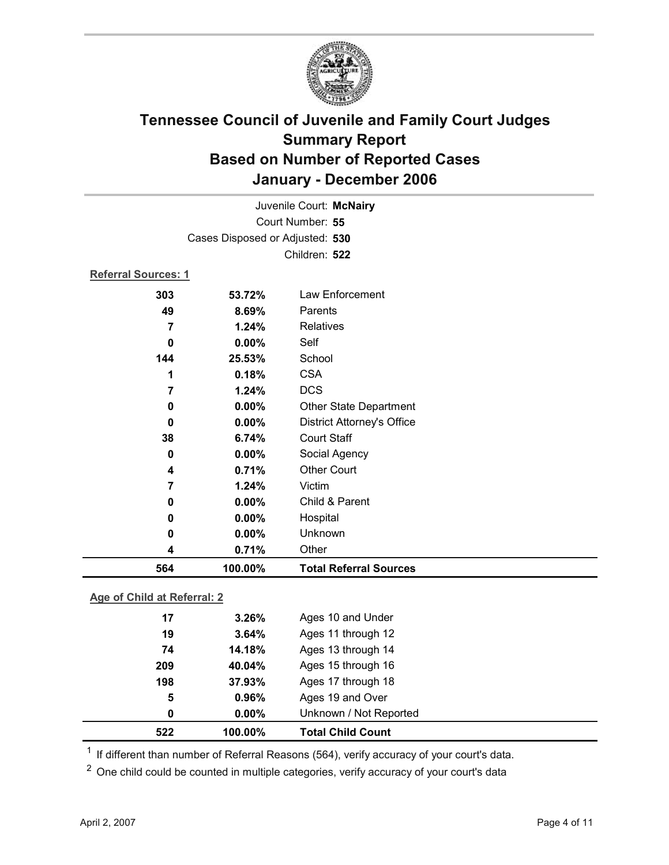

|                             |                                 | Juvenile Court: McNairy           |  |
|-----------------------------|---------------------------------|-----------------------------------|--|
|                             |                                 | Court Number: 55                  |  |
|                             | Cases Disposed or Adjusted: 530 |                                   |  |
|                             |                                 | Children: 522                     |  |
| <b>Referral Sources: 1</b>  |                                 |                                   |  |
| 303                         | 53.72%                          | Law Enforcement                   |  |
| 49                          | 8.69%                           | Parents                           |  |
| $\overline{7}$              | 1.24%                           | <b>Relatives</b>                  |  |
| $\mathbf 0$                 | 0.00%                           | Self                              |  |
| 144                         | 25.53%                          | School                            |  |
| 1                           | 0.18%                           | <b>CSA</b>                        |  |
| $\overline{7}$              | 1.24%                           | <b>DCS</b>                        |  |
| $\mathbf 0$                 | 0.00%                           | Other State Department            |  |
| 0                           | 0.00%                           | <b>District Attorney's Office</b> |  |
| 38                          | 6.74%                           | <b>Court Staff</b>                |  |
| 0                           | 0.00%                           | Social Agency                     |  |
| 4                           | 0.71%                           | <b>Other Court</b>                |  |
| 7                           | 1.24%                           | Victim                            |  |
| 0                           | 0.00%                           | Child & Parent                    |  |
| 0                           | 0.00%                           | Hospital                          |  |
| 0                           | 0.00%                           | Unknown                           |  |
| 4                           | 0.71%                           | Other                             |  |
| 564                         | 100.00%                         | <b>Total Referral Sources</b>     |  |
| Age of Child at Referral: 2 |                                 |                                   |  |
| 17                          | 3.26%                           | Ages 10 and Under                 |  |
| 19                          | 3.64%                           | Ages 11 through 12                |  |
| 74                          | 14.18%                          | Ages 13 through 14                |  |
| 209                         | 40.04%                          | Ages 15 through 16                |  |

**198 37.93%** Ages 17 through 18 **5 0.96%** Ages 19 and Over **0 0.00%** Unknown / Not Reported **522 100.00% Total Child Count**

 $1$  If different than number of Referral Reasons (564), verify accuracy of your court's data.

<sup>2</sup> One child could be counted in multiple categories, verify accuracy of your court's data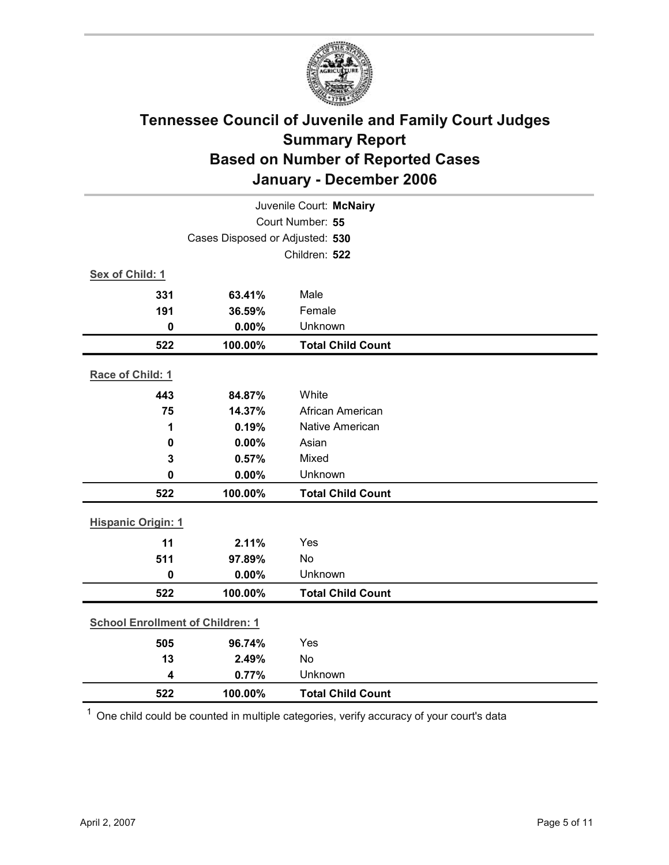

|                                         |                                 | Juvenile Court: McNairy  |
|-----------------------------------------|---------------------------------|--------------------------|
|                                         |                                 | Court Number: 55         |
|                                         | Cases Disposed or Adjusted: 530 |                          |
|                                         |                                 | Children: 522            |
| Sex of Child: 1                         |                                 |                          |
| 331                                     | 63.41%                          | Male                     |
| 191                                     | 36.59%                          | Female                   |
| $\mathbf 0$                             | 0.00%                           | Unknown                  |
| 522                                     | 100.00%                         | <b>Total Child Count</b> |
| Race of Child: 1                        |                                 |                          |
| 443                                     | 84.87%                          | White                    |
| 75                                      | 14.37%                          | African American         |
| 1                                       | 0.19%                           | Native American          |
| 0                                       | 0.00%                           | Asian                    |
| $\mathbf{3}$                            | 0.57%                           | Mixed                    |
| $\bf{0}$                                | 0.00%                           | Unknown                  |
| 522                                     | 100.00%                         | <b>Total Child Count</b> |
| <b>Hispanic Origin: 1</b>               |                                 |                          |
| 11                                      | 2.11%                           | Yes                      |
| 511                                     | 97.89%                          | No                       |
| $\mathbf 0$                             | 0.00%                           | Unknown                  |
| 522                                     | 100.00%                         | <b>Total Child Count</b> |
| <b>School Enrollment of Children: 1</b> |                                 |                          |
| 505                                     | 96.74%                          | Yes                      |
| 13                                      | 2.49%                           | <b>No</b>                |
| $\overline{\mathbf{4}}$                 | 0.77%                           | Unknown                  |
| 522                                     | 100.00%                         | <b>Total Child Count</b> |

 $1$  One child could be counted in multiple categories, verify accuracy of your court's data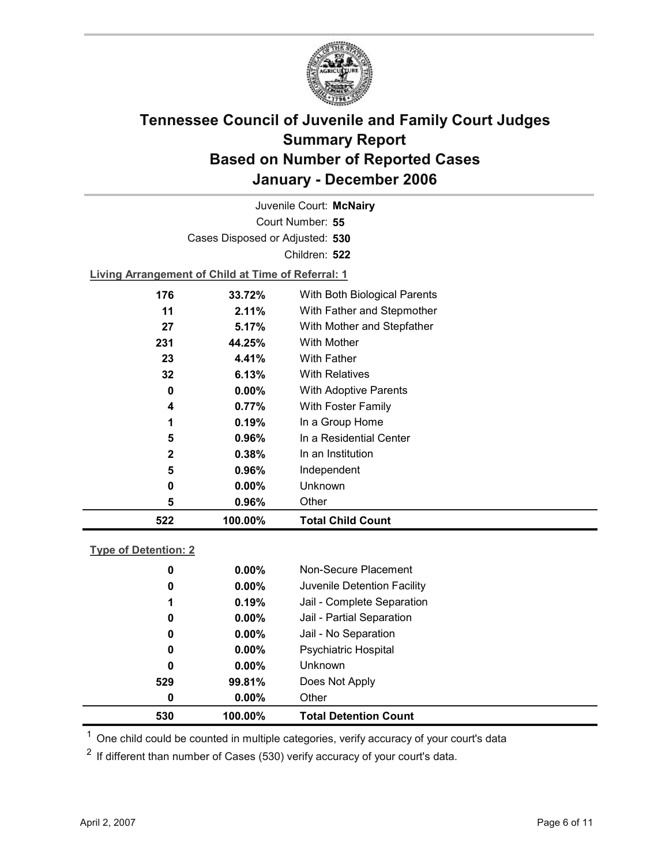

Court Number: **55** Juvenile Court: **McNairy** Cases Disposed or Adjusted: **530** Children: **522 Living Arrangement of Child at Time of Referral: 1 176 33.72%** With Both Biological Parents

| 522          | 100.00%  | <b>Total Child Count</b>     |
|--------------|----------|------------------------------|
| 5            | 0.96%    | Other                        |
| 0            | $0.00\%$ | Unknown                      |
| 5            | 0.96%    | Independent                  |
| $\mathbf{2}$ | 0.38%    | In an Institution            |
| 5            | 0.96%    | In a Residential Center      |
| 1            | 0.19%    | In a Group Home              |
| 4            | 0.77%    | With Foster Family           |
| 0            | $0.00\%$ | <b>With Adoptive Parents</b> |
| 32           | 6.13%    | <b>With Relatives</b>        |
| 23           | 4.41%    | With Father                  |
| 231          | 44.25%   | With Mother                  |
| 27           | 5.17%    | With Mother and Stepfather   |
| 11           | 2.11%    | With Father and Stepmother   |
|              |          |                              |

### **Type of Detention: 2**

| 530 | 100.00%  | <b>Total Detention Count</b> |
|-----|----------|------------------------------|
| 0   | $0.00\%$ | Other                        |
| 529 | 99.81%   | Does Not Apply               |
| 0   | $0.00\%$ | <b>Unknown</b>               |
| 0   | $0.00\%$ | <b>Psychiatric Hospital</b>  |
| 0   | $0.00\%$ | Jail - No Separation         |
| 0   | $0.00\%$ | Jail - Partial Separation    |
| 1   | 0.19%    | Jail - Complete Separation   |
| 0   | $0.00\%$ | Juvenile Detention Facility  |
| 0   | $0.00\%$ | Non-Secure Placement         |
|     |          |                              |

 $<sup>1</sup>$  One child could be counted in multiple categories, verify accuracy of your court's data</sup>

 $2$  If different than number of Cases (530) verify accuracy of your court's data.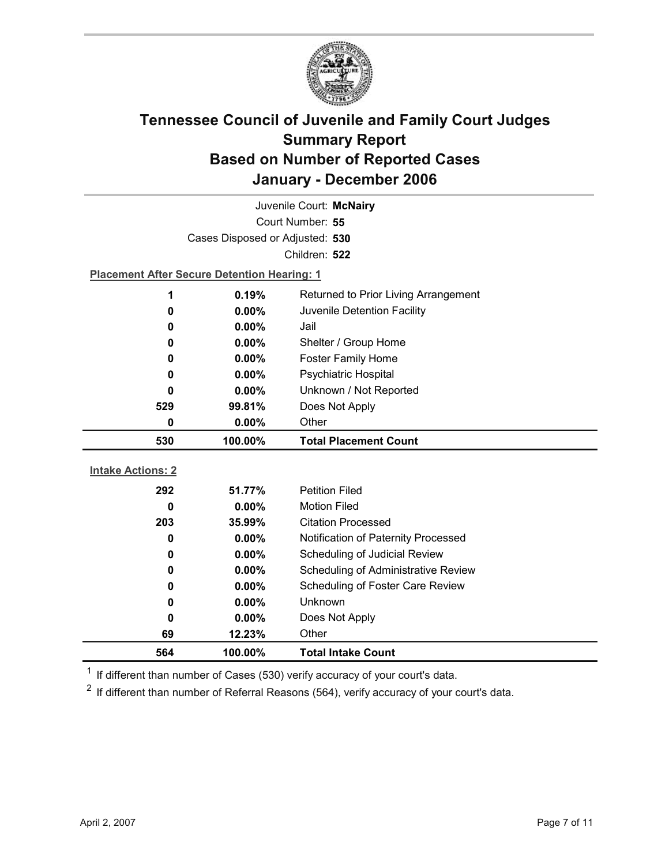

|                          |                                                    | Juvenile Court: McNairy              |
|--------------------------|----------------------------------------------------|--------------------------------------|
|                          |                                                    | Court Number: 55                     |
|                          | Cases Disposed or Adjusted: 530                    |                                      |
|                          |                                                    | Children: 522                        |
|                          | <b>Placement After Secure Detention Hearing: 1</b> |                                      |
| 1                        | 0.19%                                              | Returned to Prior Living Arrangement |
| $\bf{0}$                 | 0.00%                                              | Juvenile Detention Facility          |
| 0                        | $0.00\%$                                           | Jail                                 |
| 0                        | 0.00%                                              | Shelter / Group Home                 |
| 0                        | $0.00\%$                                           | <b>Foster Family Home</b>            |
| 0                        | $0.00\%$                                           | <b>Psychiatric Hospital</b>          |
| 0                        | 0.00%                                              | Unknown / Not Reported               |
| 529                      | 99.81%                                             | Does Not Apply                       |
| 0                        | $0.00\%$                                           | Other                                |
|                          |                                                    |                                      |
| 530                      | 100.00%                                            | <b>Total Placement Count</b>         |
|                          |                                                    |                                      |
| <b>Intake Actions: 2</b> |                                                    |                                      |
| 292                      | 51.77%                                             | <b>Petition Filed</b>                |
| $\bf{0}$                 | $0.00\%$                                           | <b>Motion Filed</b>                  |
| 203                      | 35.99%                                             | <b>Citation Processed</b>            |
| 0                        | 0.00%                                              | Notification of Paternity Processed  |
| 0                        | $0.00\%$                                           | Scheduling of Judicial Review        |
| 0                        | 0.00%                                              | Scheduling of Administrative Review  |
| 0                        | 0.00%                                              | Scheduling of Foster Care Review     |
| 0                        | $0.00\%$                                           | <b>Unknown</b>                       |
| 0                        | 0.00%                                              | Does Not Apply                       |
| 69<br>564                | 12.23%<br>100.00%                                  | Other<br><b>Total Intake Count</b>   |

 $1$  If different than number of Cases (530) verify accuracy of your court's data.

 $2$  If different than number of Referral Reasons (564), verify accuracy of your court's data.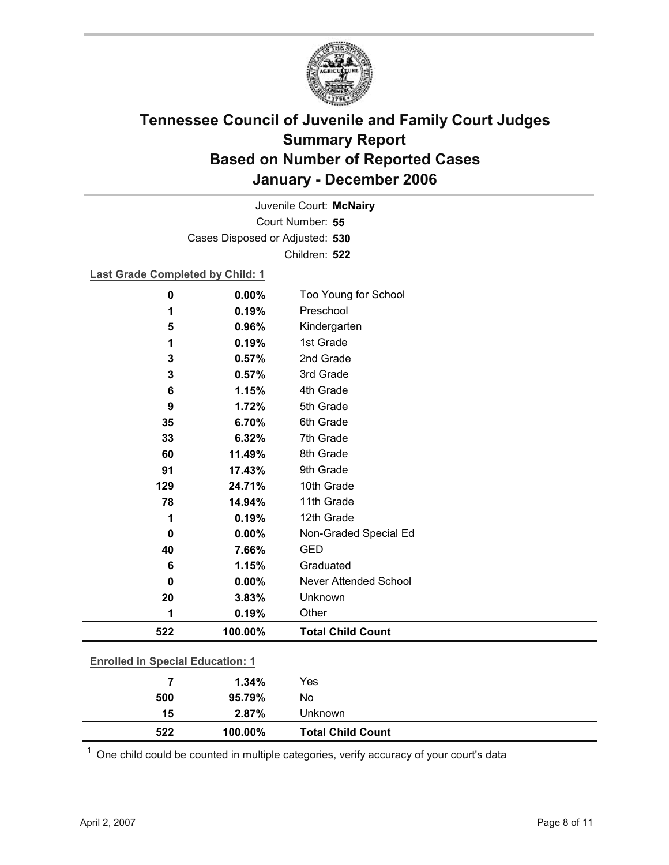

Court Number: **55** Juvenile Court: **McNairy** Cases Disposed or Adjusted: **530** Children: **522**

### **Last Grade Completed by Child: 1**

| $\bf{0}$                                | 0.00%   | Too Young for School         |
|-----------------------------------------|---------|------------------------------|
| 1                                       | 0.19%   | Preschool                    |
| 5                                       | 0.96%   | Kindergarten                 |
| 1                                       | 0.19%   | 1st Grade                    |
| 3                                       | 0.57%   | 2nd Grade                    |
| 3                                       | 0.57%   | 3rd Grade                    |
| 6                                       | 1.15%   | 4th Grade                    |
| 9                                       | 1.72%   | 5th Grade                    |
| 35                                      | 6.70%   | 6th Grade                    |
| 33                                      | 6.32%   | 7th Grade                    |
| 60                                      | 11.49%  | 8th Grade                    |
| 91                                      | 17.43%  | 9th Grade                    |
| 129                                     | 24.71%  | 10th Grade                   |
| 78                                      | 14.94%  | 11th Grade                   |
| 1                                       | 0.19%   | 12th Grade                   |
| $\bf{0}$                                | 0.00%   | Non-Graded Special Ed        |
| 40                                      | 7.66%   | <b>GED</b>                   |
| 6                                       | 1.15%   | Graduated                    |
| $\Omega$                                | 0.00%   | <b>Never Attended School</b> |
| 20                                      | 3.83%   | Unknown                      |
| 1                                       | 0.19%   | Other                        |
| 522                                     | 100.00% | <b>Total Child Count</b>     |
|                                         |         |                              |
| <b>Enrolled in Special Education: 1</b> |         |                              |
| 7                                       | 1.34%   | Yes                          |

| 522 | 100.00% | <b>Total Child Count</b> |
|-----|---------|--------------------------|
| 15  | 2.87%   | Unknown                  |
| 500 | 95.79%  | No                       |

 $1$  One child could be counted in multiple categories, verify accuracy of your court's data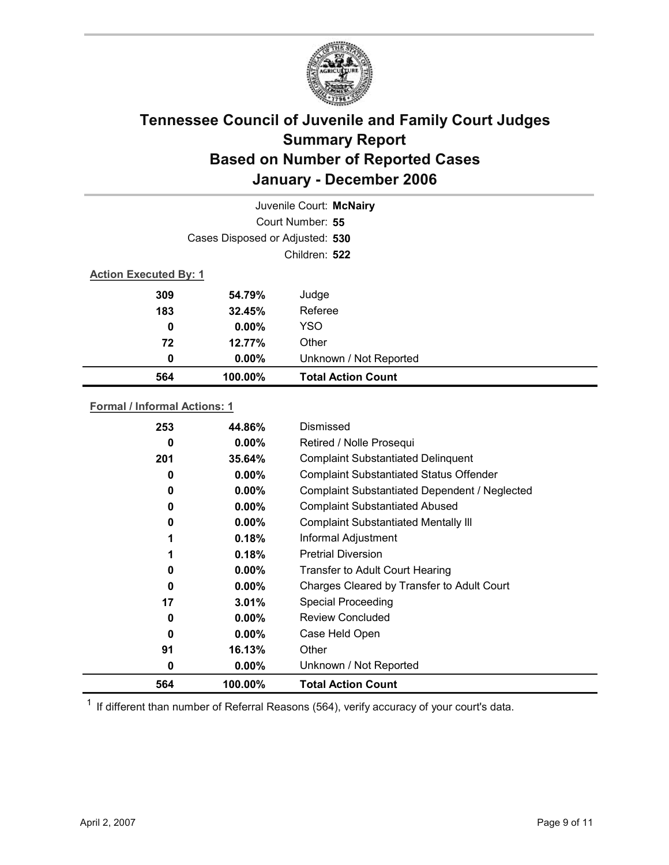

|                              |                                 | Juvenile Court: McNairy   |
|------------------------------|---------------------------------|---------------------------|
|                              |                                 | Court Number: 55          |
|                              | Cases Disposed or Adjusted: 530 |                           |
|                              |                                 | Children: 522             |
| <b>Action Executed By: 1</b> |                                 |                           |
| 309                          | 54.79%                          | Judge                     |
| 183                          | 32.45%                          | Referee                   |
| 0                            | $0.00\%$                        | <b>YSO</b>                |
| 72                           | 12.77%                          | Other                     |
| 0                            | $0.00\%$                        | Unknown / Not Reported    |
| 564                          | 100.00%                         | <b>Total Action Count</b> |

### **Formal / Informal Actions: 1**

| 0.18%<br>0.18%<br>$0.00\%$<br>$0.00\%$<br>3.01%<br>$0.00\%$<br>$0.00\%$<br>16.13%<br>$0.00\%$ | Informal Adjustment<br><b>Pretrial Diversion</b><br><b>Transfer to Adult Court Hearing</b><br>Charges Cleared by Transfer to Adult Court<br><b>Special Proceeding</b><br><b>Review Concluded</b><br>Case Held Open<br>Other<br>Unknown / Not Reported |
|-----------------------------------------------------------------------------------------------|-------------------------------------------------------------------------------------------------------------------------------------------------------------------------------------------------------------------------------------------------------|
|                                                                                               |                                                                                                                                                                                                                                                       |
|                                                                                               |                                                                                                                                                                                                                                                       |
|                                                                                               |                                                                                                                                                                                                                                                       |
|                                                                                               |                                                                                                                                                                                                                                                       |
|                                                                                               |                                                                                                                                                                                                                                                       |
|                                                                                               |                                                                                                                                                                                                                                                       |
|                                                                                               |                                                                                                                                                                                                                                                       |
|                                                                                               |                                                                                                                                                                                                                                                       |
|                                                                                               |                                                                                                                                                                                                                                                       |
| $0.00\%$                                                                                      | <b>Complaint Substantiated Mentally III</b>                                                                                                                                                                                                           |
| $0.00\%$                                                                                      | <b>Complaint Substantiated Abused</b>                                                                                                                                                                                                                 |
| $0.00\%$                                                                                      | Complaint Substantiated Dependent / Neglected                                                                                                                                                                                                         |
| $0.00\%$                                                                                      | <b>Complaint Substantiated Status Offender</b>                                                                                                                                                                                                        |
| 35.64%                                                                                        | <b>Complaint Substantiated Delinquent</b>                                                                                                                                                                                                             |
|                                                                                               | Retired / Nolle Prosequi                                                                                                                                                                                                                              |
|                                                                                               |                                                                                                                                                                                                                                                       |
|                                                                                               | $0.00\%$                                                                                                                                                                                                                                              |

 $1$  If different than number of Referral Reasons (564), verify accuracy of your court's data.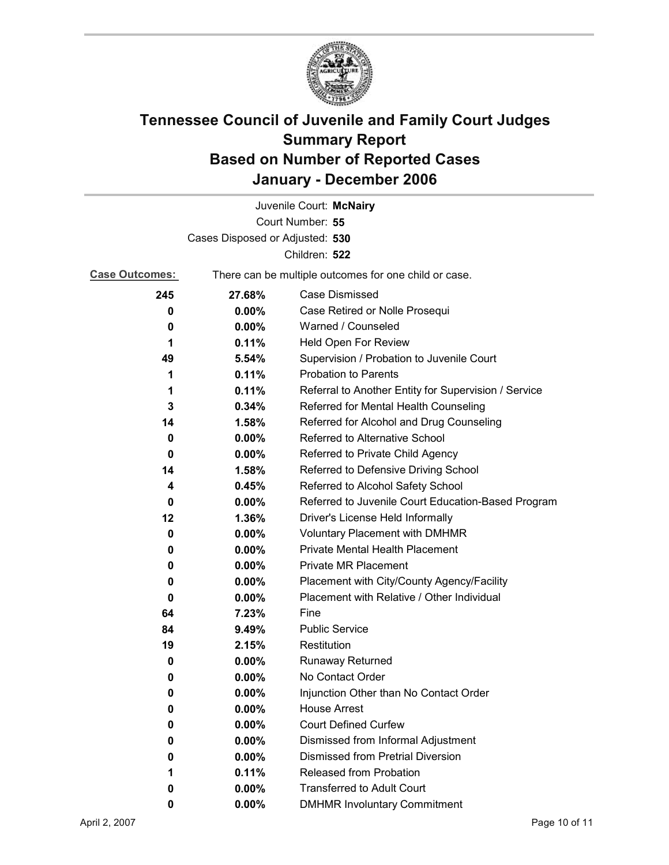

|                                 |          | Juvenile Court: McNairy                               |  |
|---------------------------------|----------|-------------------------------------------------------|--|
| Court Number: 55                |          |                                                       |  |
| Cases Disposed or Adjusted: 530 |          |                                                       |  |
|                                 |          | Children: 522                                         |  |
| <b>Case Outcomes:</b>           |          | There can be multiple outcomes for one child or case. |  |
| 245                             | 27.68%   | <b>Case Dismissed</b>                                 |  |
| 0                               | 0.00%    | Case Retired or Nolle Prosequi                        |  |
| 0                               | 0.00%    | Warned / Counseled                                    |  |
| 1                               | 0.11%    | Held Open For Review                                  |  |
| 49                              | 5.54%    | Supervision / Probation to Juvenile Court             |  |
| 1                               | 0.11%    | <b>Probation to Parents</b>                           |  |
| 1                               | 0.11%    | Referral to Another Entity for Supervision / Service  |  |
| 3                               | 0.34%    | Referred for Mental Health Counseling                 |  |
| 14                              | 1.58%    | Referred for Alcohol and Drug Counseling              |  |
| 0                               | 0.00%    | Referred to Alternative School                        |  |
| 0                               | $0.00\%$ | Referred to Private Child Agency                      |  |
| 14                              | 1.58%    | Referred to Defensive Driving School                  |  |
| 4                               | 0.45%    | Referred to Alcohol Safety School                     |  |
| 0                               | $0.00\%$ | Referred to Juvenile Court Education-Based Program    |  |
| 12                              | 1.36%    | Driver's License Held Informally                      |  |
| 0                               | $0.00\%$ | <b>Voluntary Placement with DMHMR</b>                 |  |
| 0                               | 0.00%    | <b>Private Mental Health Placement</b>                |  |
| 0                               | $0.00\%$ | <b>Private MR Placement</b>                           |  |
| 0                               | $0.00\%$ | Placement with City/County Agency/Facility            |  |
| 0                               | $0.00\%$ | Placement with Relative / Other Individual            |  |
| 64                              | 7.23%    | Fine                                                  |  |
| 84                              | 9.49%    | <b>Public Service</b>                                 |  |
| 19                              | 2.15%    | Restitution                                           |  |
| 0                               | 0.00%    | Runaway Returned                                      |  |
| 0                               | 0.00%    | No Contact Order                                      |  |
| 0                               | 0.00%    | Injunction Other than No Contact Order                |  |
| 0                               | 0.00%    | <b>House Arrest</b>                                   |  |
| 0                               | $0.00\%$ | <b>Court Defined Curfew</b>                           |  |
| 0                               | 0.00%    | Dismissed from Informal Adjustment                    |  |
| 0                               | 0.00%    | <b>Dismissed from Pretrial Diversion</b>              |  |
| 1                               | 0.11%    | Released from Probation                               |  |
| 0                               | 0.00%    | <b>Transferred to Adult Court</b>                     |  |
| 0                               | 0.00%    | <b>DMHMR Involuntary Commitment</b>                   |  |